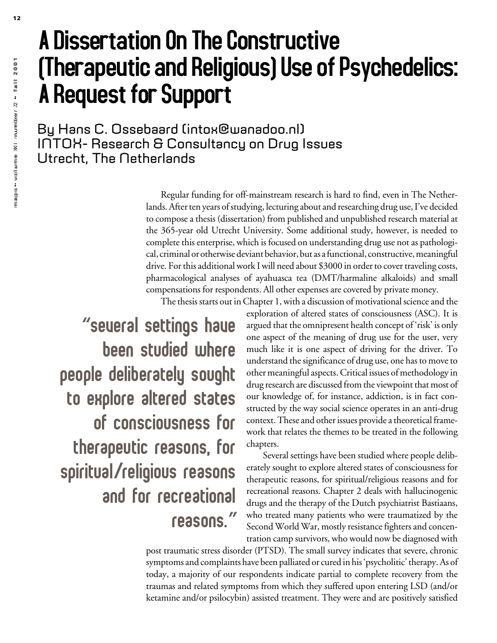## A Dissertation On The Constructive (Therapeutic and Religious) Use of Psychedelics: A Request for Support

By Hans C. Ossebaard (intox@wanadoo.nl) INTOX- Research & Consultancy on Drug Issues Utrecht, The Netherlands

> Regular funding for off-mainstream research is hard to find, even in The Netherlands. After ten years of studying, lecturing about and researching drug use, I've decided to compose a thesis (dissertation) from published and unpublished research material at the 365-year old Utrecht University. Some additional study, however, is needed to complete this enterprise, which is focused on understanding drug use not as pathological, criminal or otherwise deviant behavior, but as a functional, constructive, meaningful drive. For this additional work I will need about \$3000 in order to cover traveling costs, pharmacological analyses of ayahuasca tea (DMT/harmaline alkaloids) and small compensations for respondents. All other expenses are covered by private money.

The thesis starts out in Chapter 1, with a discussion of motivational science and the

**"**Several settings have been studied where people deliberately sought to explore altered states of consciousness for therapeutic reasons, for spiritual**/**religious reasons and for recreational reasons.**"** exploration of altered states of consciousness (ASC). It is argued that the omnipresent health concept of 'risk' is only one aspect of the meaning of drug use for the user, very much like it is one aspect of driving for the driver. To understand the significance of drug use, one has to move to other meaningful aspects. Critical issues of methodology in drug research are discussed from the viewpoint that most of our knowledge of, for instance, addiction, is in fact constructed by the way social science operates in an anti-drug context. These and other issues provide a theoretical framework that relates the themes to be treated in the following chapters.

Several settings have been studied where people deliberately sought to explore altered states of consciousness for therapeutic reasons, for spiritual/religious reasons and for recreational reasons. Chapter 2 deals with hallucinogenic drugs and the therapy of the Dutch psychiatrist Bastiaans, who treated many patients who were traumatized by the Second World War, mostly resistance fighters and concentration camp survivors, who would now be diagnosed with

post traumatic stress disorder (PTSD). The small survey indicates that severe, chronic symptoms and complaints have been palliated or cured in his 'psycholitic' therapy. As of today, a majority of our respondents indicate partial to complete recovery from the traumas and related symptoms from which they suffered upon entering LSD (and/or ketamine and/or psilocybin) assisted treatment. They were and are positively satisfied